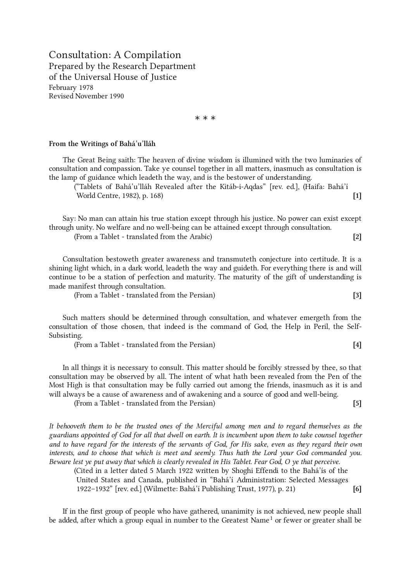# Consultation: A Compilation Prepared by the Research Department of the Universal House of Justice February 1978 Revised November 1990

\* \* \*

#### From the Writings of Bahá'u'lláh

The Great Being saith: The heaven of divine wisdom is illumined with the two luminaries of consultation and compassion. Take ye counsel together in all matters, inasmuch as consultation is the lamp of guidance which leadeth the way, and is the bestower of understanding.

("Tablets of Bahá'u'lláh Revealed after the Kitáb-i-Aqdas" [rev. ed.], (Haifa: Bahá'í World Centre, 1982), p. 168) [1]

Say: No man can attain his true station except through his justice. No power can exist except through unity. No welfare and no well-being can be attained except through consultation. (From a Tablet - translated from the Arabic) [2]

Consultation bestoweth greater awareness and transmuteth conjecture into certitude. It is a shining light which, in a dark world, leadeth the way and guideth. For everything there is and will continue to be a station of perfection and maturity. The maturity of the gift of understanding is made manifest through consultation.

(From a Tablet - translated from the Persian) [3]

Such matters should be determined through consultation, and whatever emergeth from the consultation of those chosen, that indeed is the command of God, the Help in Peril, the Self-Subsisting.

(From a Tablet - translated from the Persian) [4]

In all things it is necessary to consult. This matter should be forcibly stressed by thee, so that consultation may be observed by all. The intent of what hath been revealed from the Pen of the Most High is that consultation may be fully carried out among the friends, inasmuch as it is and will always be a cause of awareness and of awakening and a source of good and well-being.

(From a Tablet - translated from the Persian) [5]

It behooveth them to be the trusted ones of the Merciful among men and to regard themselves as the guardians appointed of God for all that dwell on earth. It is incumbent upon them to take counsel together and to have regard for the interests of the servants of God, for His sake, even as they regard their own interests, and to choose that which is meet and seemly. Thus hath the Lord your God commanded you. Beware lest ye put away that which is clearly revealed in His Tablet. Fear God, O ye that perceive.

(Cited in a letter dated 5 March 1922 written by Shoghi Effendi to the Bahá'ís of the United States and Canada, published in "Bahá'í Administration: Selected Messages 1922–1932" [rev. ed.] (Wilmette: Bahá'í Publishing Trust, 1977), p. 21) [6]

<span id="page-0-0"></span>If in the first group of people who have gathered, unanimity is not achieved, new people shall be added, after which a group equal in number to the Greatest Name<sup>[1](#page-11-0)</sup> or fewer or greater shall be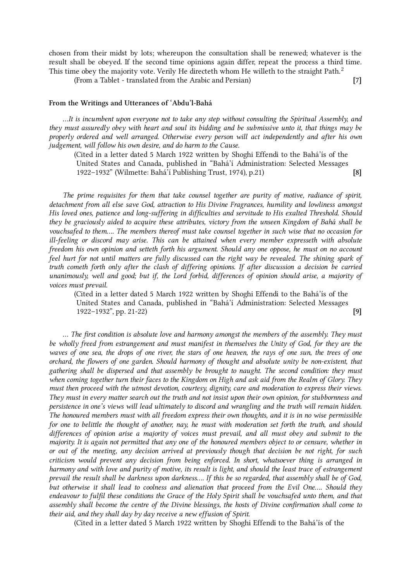chosen from their midst by lots; whereupon the consultation shall be renewed; whatever is the result shall be obeyed. If the second time opinions again differ, repeat the process a third time. This time obey the majority vote. Verily He directeth whom He willeth to the straight Path.<sup>[2](#page-11-1)</sup>

(From a Tablet - translated from the Arabic and Persian) [7]

### From the Writings and Utterances of 'Abdu'l-Bahá

...It is incumbent upon everyone not to take any step without consulting the Spiritual Assembly, and they must assuredly obey with heart and soul its bidding and be submissive unto it, that things may be properly ordered and well arranged. Otherwise every person will act independently and after his own judgement, will follow his own desire, and do harm to the Cause.

(Cited in a letter dated 5 March 1922 written by Shoghi Effendi to the Bahá'ís of the United States and Canada, published in "Bahá'í Administration: Selected Messages 1922–1932" (Wilmette: Bahá'í Publishing Trust, 1974), p.21) [8]

The prime requisites for them that take counsel together are purity of motive, radiance of spirit, detachment from all else save God, attraction to His Divine Fragrances, humility and lowliness amongst His loved ones, patience and long-suffering in difficulties and servitude to His exalted Threshold. Should they be graciously aided to acquire these attributes, victory from the unseen Kingdom of Bahá shall be vouchsafed to them.... The members thereof must take counsel together in such wise that no occasion for ill-feeling or discord may arise. This can be attained when every member expresseth with absolute freedom his own opinion and setteth forth his argument. Should any one oppose, he must on no account feel hurt for not until matters are fully discussed can the right way be revealed. The shining spark of truth cometh forth only after the clash of differing opinions. If after discussion a decision be carried unanimously, well and good; but if, the Lord forbid, differences of opinion should arise, a majority of voices must prevail.

(Cited in a letter dated 5 March 1922 written by Shoghi Effendi to the Bahá'ís of the United States and Canada, published in "Bahá'í Administration: Selected Messages 1922–1932", pp. 21-22) [9]

... The first condition is absolute love and harmony amongst the members of the assembly. They must be wholly freed from estrangement and must manifest in themselves the Unity of God, for they are the waves of one sea, the drops of one river, the stars of one heaven, the rays of one sun, the trees of one orchard, the flowers of one garden. Should harmony of thought and absolute unity be non-existent, that gathering shall be dispersed and that assembly be brought to naught. The second condition: they must when coming together turn their faces to the Kingdom on High and ask aid from the Realm of Glory. They must then proceed with the utmost devotion, courtesy, dignity, care and moderation to express their views. They must in every matter search out the truth and not insist upon their own opinion, for stubbornness and persistence in one's views will lead ultimately to discord and wrangling and the truth will remain hidden. The honoured members must with all freedom express their own thoughts, and it is in no wise permissible for one to belittle the thought of another, nay, he must with moderation set forth the truth, and should differences of opinion arise a majority of voices must prevail, and all must obey and submit to the majority. It is again not permitted that any one of the honoured members object to or censure, whether in or out of the meeting, any decision arrived at previously though that decision be not right, for such criticism would prevent any decision from being enforced. In short, whatsoever thing is arranged in harmony and with love and purity of motive, its result is light, and should the least trace of estrangement prevail the result shall be darkness upon darkness.... If this be so regarded, that assembly shall be of God, but otherwise it shall lead to coolness and alienation that proceed from the Evil One.... Should they endeavour to fulfil these conditions the Grace of the Holy Spirit shall be vouchsafed unto them, and that assembly shall become the centre of the Divine blessings, the hosts of Divine confirmation shall come to their aid, and they shall day by day receive a new effusion of Spirit.

(Cited in a letter dated 5 March 1922 written by Shoghi Effendi to the Bahá'ís of the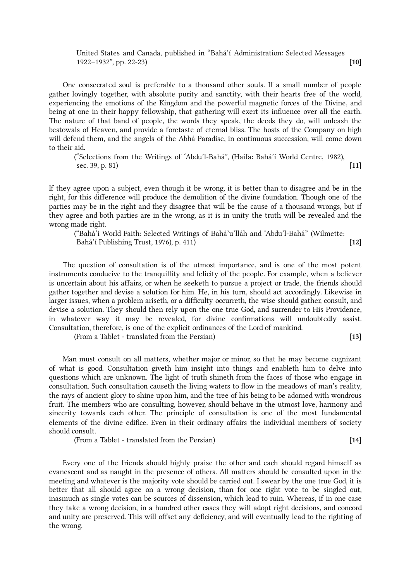United States and Canada, published in "Bahá'í Administration: Selected Messages 1922–1932", pp. 22-23) [10]

One consecrated soul is preferable to a thousand other souls. If a small number of people gather lovingly together, with absolute purity and sanctity, with their hearts free of the world, experiencing the emotions of the Kingdom and the powerful magnetic forces of the Divine, and being at one in their happy fellowship, that gathering will exert its influence over all the earth. The nature of that band of people, the words they speak, the deeds they do, will unleash the bestowals of Heaven, and provide a foretaste of eternal bliss. The hosts of the Company on high will defend them, and the angels of the Abhá Paradise, in continuous succession, will come down to their aid.

("Selections from the Writings of 'Abdu'l-Bahá", (Haifa: Bahá'í World Centre, 1982), sec. 39, p. 81) [11]

If they agree upon a subject, even though it be wrong, it is better than to disagree and be in the right, for this difference will produce the demolition of the divine foundation. Though one of the parties may be in the right and they disagree that will be the cause of a thousand wrongs, but if they agree and both parties are in the wrong, as it is in unity the truth will be revealed and the wrong made right.

("Bahá'í World Faith: Selected Writings of Bahá'u'lláh and 'Abdu'l-Bahá" (Wilmette: Bahá'í Publishing Trust, 1976), p. 411) [12]

The question of consultation is of the utmost importance, and is one of the most potent instruments conducive to the tranquillity and felicity of the people. For example, when a believer is uncertain about his affairs, or when he seeketh to pursue a project or trade, the friends should gather together and devise a solution for him. He, in his turn, should act accordingly. Likewise in larger issues, when a problem ariseth, or a difficulty occurreth, the wise should gather, consult, and devise a solution. They should then rely upon the one true God, and surrender to His Providence, in whatever way it may be revealed, for divine confirmations will undoubtedly assist. Consultation, therefore, is one of the explicit ordinances of the Lord of mankind.

(From a Tablet - translated from the Persian) [13]

Man must consult on all matters, whether major or minor, so that he may become cognizant of what is good. Consultation giveth him insight into things and enableth him to delve into questions which are unknown. The light of truth shineth from the faces of those who engage in consultation. Such consultation causeth the living waters to flow in the meadows of man's reality, the rays of ancient glory to shine upon him, and the tree of his being to be adorned with wondrous fruit. The members who are consulting, however, should behave in the utmost love, harmony and sincerity towards each other. The principle of consultation is one of the most fundamental elements of the divine edifice. Even in their ordinary affairs the individual members of society should consult.

(From a Tablet - translated from the Persian) [14]

Every one of the friends should highly praise the other and each should regard himself as evanescent and as naught in the presence of others. All matters should be consulted upon in the meeting and whatever is the majority vote should be carried out. I swear by the one true God, it is better that all should agree on a wrong decision, than for one right vote to be singled out, inasmuch as single votes can be sources of dissension, which lead to ruin. Whereas, if in one case they take a wrong decision, in a hundred other cases they will adopt right decisions, and concord and unity are preserved. This will offset any deficiency, and will eventually lead to the righting of the wrong.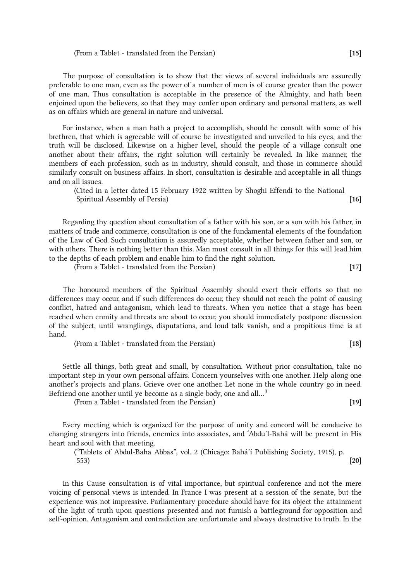#### (From a Tablet - translated from the Persian) [15]

The purpose of consultation is to show that the views of several individuals are assuredly preferable to one man, even as the power of a number of men is of course greater than the power of one man. Thus consultation is acceptable in the presence of the Almighty, and hath been enjoined upon the believers, so that they may confer upon ordinary and personal matters, as well as on affairs which are general in nature and universal.

For instance, when a man hath a project to accomplish, should he consult with some of his brethren, that which is agreeable will of course be investigated and unveiled to his eyes, and the truth will be disclosed. Likewise on a higher level, should the people of a village consult one another about their affairs, the right solution will certainly be revealed. In like manner, the members of each profession, such as in industry, should consult, and those in commerce should similarly consult on business affairs. In short, consultation is desirable and acceptable in all things and on all issues.

(Cited in a letter dated 15 February 1922 written by Shoghi Effendi to the National Spiritual Assembly of Persia) [16]

Regarding thy question about consultation of a father with his son, or a son with his father, in matters of trade and commerce, consultation is one of the fundamental elements of the foundation of the Law of God. Such consultation is assuredly acceptable, whether between father and son, or with others. There is nothing better than this. Man must consult in all things for this will lead him to the depths of each problem and enable him to find the right solution.

(From a Tablet - translated from the Persian) [17]

The honoured members of the Spiritual Assembly should exert their efforts so that no differences may occur, and if such differences do occur, they should not reach the point of causing conflict, hatred and antagonism, which lead to threats. When you notice that a stage has been reached when enmity and threats are about to occur, you should immediately postpone discussion of the subject, until wranglings, disputations, and loud talk vanish, and a propitious time is at hand.

(From a Tablet - translated from the Persian) [18]

<span id="page-3-0"></span>Settle all things, both great and small, by consultation. Without prior consultation, take no important step in your own personal affairs. Concern yourselves with one another. Help along one another's projects and plans. Grieve over one another. Let none in the whole country go in need. Befriend one another until ye become as a single body, one and all...<sup>[3](#page-11-2)</sup>

(From a Tablet - translated from the Persian) [19]

Every meeting which is organized for the purpose of unity and concord will be conducive to changing strangers into friends, enemies into associates, and 'Abdu'l-Bahá will be present in His heart and soul with that meeting.

("Tablets of Abdul-Baha Abbas", vol. 2 (Chicago: Bahá'í Publishing Society, 1915), p. 553) [20]

In this Cause consultation is of vital importance, but spiritual conference and not the mere voicing of personal views is intended. In France I was present at a session of the senate, but the experience was not impressive. Parliamentary procedure should have for its object the attainment of the light of truth upon questions presented and not furnish a battleground for opposition and self-opinion. Antagonism and contradiction are unfortunate and always destructive to truth. In the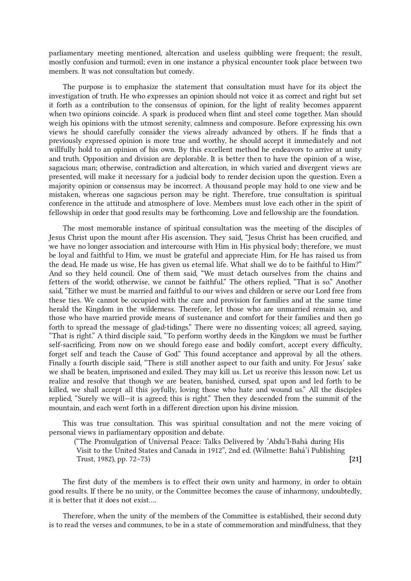parliamentary meeting mentioned, altercation and useless quibbling were frequent; the result, mostly confusion and turmoil; even in one instance a physical encounter took place between two members. It was not consultation but comedy.

The purpose is to emphasize the statement that consultation must have for its object the investigation of truth. He who expresses an opinion should not voice it as correct and right but set it forth as a contribution to the consensus of opinion, for the light of reality becomes apparent when two opinions coincide. A spark is produced when flint and steel come together. Man should weigh his opinions with the utmost serenity, calmness and composure. Before expressing his own views he should carefully consider the views already advanced by others. If he finds that a previously expressed opinion is more true and worthy, he should accept it immediately and not willfully hold to an opinion of his own. By this excellent method he endeavors to arrive at unity and truth. Opposition and division are deplorable. It is better then to have the opinion of a wise, sagacious man; otherwise, contradiction and altercation, in which varied and divergent views are presented, will make it necessary for a judicial body to render decision upon the question. Even a majority opinion or consensus may be incorrect. A thousand people may hold to one view and be mistaken, whereas one sagacious person may be right. Therefore, true consultation is spiritual conference in the attitude and atmosphere of love. Members must love each other in the spirit of fellowship in order that good results may be forthcoming. Love and fellowship are the foundation.

The most memorable instance of spiritual consultation was the meeting of the disciples of Jesus Christ upon the mount after His ascension. They said, "Jesus Christ has been crucified, and we have no longer association and intercourse with Him in His physical body; therefore, we must be loyal and faithful to Him, we must be grateful and appreciate Him, for He has raised us from the dead, He made us wise, He has given us eternal life. What shall we do to be faithful to Him?" And so they held council. One of them said, "We must detach ourselves from the chains and fetters of the world; otherwise, we cannot be faithful." The others replied, "That is so." Another said, "Either we must be married and faithful to our wives and children or serve our Lord free from these ties. We cannot be occupied with the care and provision for families and at the same time herald the Kingdom in the wilderness. Therefore, let those who are unmarried remain so, and those who have married provide means of sustenance and comfort for their families and then go forth to spread the message of glad-tidings." There were no dissenting voices; all agreed, saying, "That is right." A third disciple said, "To perform worthy deeds in the Kingdom we must be further self-sacrificing. From now on we should forego ease and bodily comfort, accept every difficulty, forget self and teach the Cause of God." This found acceptance and approval by all the others. Finally a fourth disciple said, "There is still another aspect to our faith and unity. For Jesus' sake we shall be beaten, imprisoned and exiled. They may kill us. Let us receive this lesson now. Let us realize and resolve that though we are beaten, banished, cursed, spat upon and led forth to be killed, we shall accept all this joyfully, loving those who hate and wound us." All the disciples replied, "Surely we will—it is agreed; this is right." Then they descended from the summit of the mountain, and each went forth in a different direction upon his divine mission.

This was true consultation. This was spiritual consultation and not the mere voicing of personal views in parliamentary opposition and debate.

("The Promulgation of Universal Peace: Talks Delivered by 'Abdu'l-Bahá during His Visit to the United States and Canada in 1912", 2nd ed. (Wilmette: Bahá'í Publishing Trust, 1982), pp. 72–73) [21]

The first duty of the members is to effect their own unity and harmony, in order to obtain good results. If there be no unity, or the Committee becomes the cause of inharmony, undoubtedly, it is better that it does not exist....

Therefore, when the unity of the members of the Committee is established, their second duty is to read the verses and communes, to be in a state of commemoration and mindfulness, that they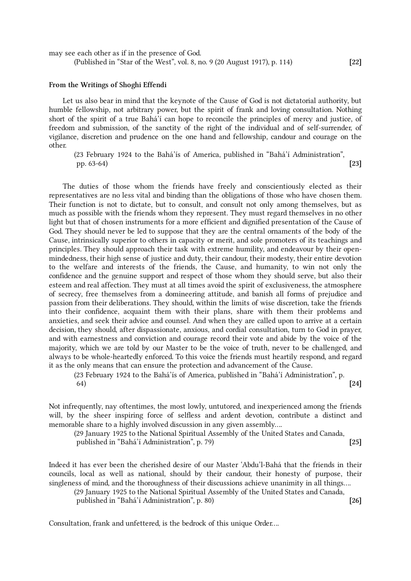may see each other as if in the presence of God.

(Published in "Star of the West", vol. 8, no. 9 (20 August 1917), p. 114) [22]

#### From the Writings of Shoghi Effendi

Let us also bear in mind that the keynote of the Cause of God is not dictatorial authority, but humble fellowship, not arbitrary power, but the spirit of frank and loving consultation. Nothing short of the spirit of a true Bahá'í can hope to reconcile the principles of mercy and justice, of freedom and submission, of the sanctity of the right of the individual and of self-surrender, of vigilance, discretion and prudence on the one hand and fellowship, candour and courage on the other.

(23 February 1924 to the Bahá'ís of America, published in "Bahá'í Administration", pp. 63-64)  $[23]$ 

The duties of those whom the friends have freely and conscientiously elected as their representatives are no less vital and binding than the obligations of those who have chosen them. Their function is not to dictate, but to consult, and consult not only among themselves, but as much as possible with the friends whom they represent. They must regard themselves in no other light but that of chosen instruments for a more efficient and dignified presentation of the Cause of God. They should never be led to suppose that they are the central ornaments of the body of the Cause, intrinsically superior to others in capacity or merit, and sole promoters of its teachings and principles. They should approach their task with extreme humility, and endeavour by their openmindedness, their high sense of justice and duty, their candour, their modesty, their entire devotion to the welfare and interests of the friends, the Cause, and humanity, to win not only the confidence and the genuine support and respect of those whom they should serve, but also their esteem and real affection. They must at all times avoid the spirit of exclusiveness, the atmosphere of secrecy, free themselves from a domineering attitude, and banish all forms of prejudice and passion from their deliberations. They should, within the limits of wise discretion, take the friends into their confidence, acquaint them with their plans, share with them their problems and anxieties, and seek their advice and counsel. And when they are called upon to arrive at a certain decision, they should, after dispassionate, anxious, and cordial consultation, turn to God in prayer, and with earnestness and conviction and courage record their vote and abide by the voice of the majority, which we are told by our Master to be the voice of truth, never to be challenged, and always to be whole-heartedly enforced. To this voice the friends must heartily respond, and regard it as the only means that can ensure the protection and advancement of the Cause.

(23 February 1924 to the Bahá'ís of America, published in "Bahá'í Administration", p. 64)  $[24]$ 

Not infrequently, nay oftentimes, the most lowly, untutored, and inexperienced among the friends will, by the sheer inspiring force of selfless and ardent devotion, contribute a distinct and memorable share to a highly involved discussion in any given assembly....

(29 January 1925 to the National Spiritual Assembly of the United States and Canada, published in "Bahá'í Administration", p. 79) [25]

Indeed it has ever been the cherished desire of our Master 'Abdu'l-Bahá that the friends in their councils, local as well as national, should by their candour, their honesty of purpose, their singleness of mind, and the thoroughness of their discussions achieve unanimity in all things....

(29 January 1925 to the National Spiritual Assembly of the United States and Canada,

published in "Bahá'í Administration", p. 80) [26]

Consultation, frank and unfettered, is the bedrock of this unique Order....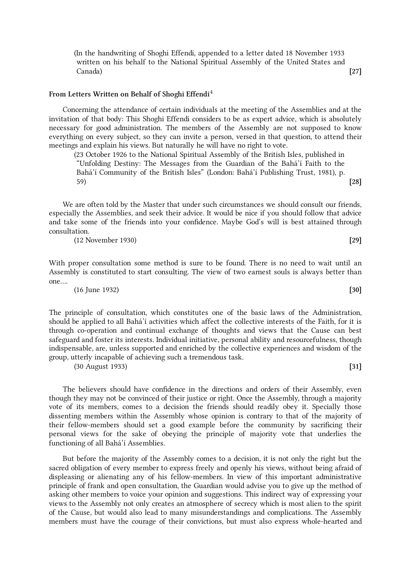(In the handwriting of Shoghi Effendi, appended to a letter dated 18 November 1933 written on his behalf to the National Spiritual Assembly of the United States and Canada) [27]

### <span id="page-6-0"></span>From Letters Written on Behalf of Shoghi Effendi<sup>[4](#page-11-3)</sup>

Concerning the attendance of certain individuals at the meeting of the Assemblies and at the invitation of that body: This Shoghi Effendi considers to be as expert advice, which is absolutely necessary for good administration. The members of the Assembly are not supposed to know everything on every subject, so they can invite a person, versed in that question, to attend their meetings and explain his views. But naturally he will have no right to vote.

(23 October 1926 to the National Spiritual Assembly of the British Isles, published in "Unfolding Destiny: The Messages from the Guardian of the Bahá'í Faith to the Bahá'í Community of the British Isles" (London: Bahá'í Publishing Trust, 1981), p.  $(28)$ 

We are often told by the Master that under such circumstances we should consult our friends, especially the Assemblies, and seek their advice. It would be nice if you should follow that advice and take some of the friends into your confidence. Maybe God's will is best attained through consultation.

(12 November 1930) [29]

With proper consultation some method is sure to be found. There is no need to wait until an Assembly is constituted to start consulting. The view of two earnest souls is always better than one....

(16 June 1932) [30]

The principle of consultation, which constitutes one of the basic laws of the Administration, should be applied to all Bahá'í activities which affect the collective interests of the Faith, for it is through co-operation and continual exchange of thoughts and views that the Cause can best safeguard and foster its interests. Individual initiative, personal ability and resourcefulness, though indispensable, are, unless supported and enriched by the collective experiences and wisdom of the group, utterly incapable of achieving such a tremendous task.

(30 August 1933) [31]

The believers should have confidence in the directions and orders of their Assembly, even though they may not be convinced of their justice or right. Once the Assembly, through a majority vote of its members, comes to a decision the friends should readily obey it. Specially those dissenting members within the Assembly whose opinion is contrary to that of the majority of their fellow-members should set a good example before the community by sacrificing their personal views for the sake of obeying the principle of majority vote that underlies the functioning of all Bahá'í Assemblies.

But before the majority of the Assembly comes to a decision, it is not only the right but the sacred obligation of every member to express freely and openly his views, without being afraid of displeasing or alienating any of his fellow-members. In view of this important administrative principle of frank and open consultation, the Guardian would advise you to give up the method of asking other members to voice your opinion and suggestions. This indirect way of expressing your views to the Assembly not only creates an atmosphere of secrecy which is most alien to the spirit of the Cause, but would also lead to many misunderstandings and complications. The Assembly members must have the courage of their convictions, but must also express whole-hearted and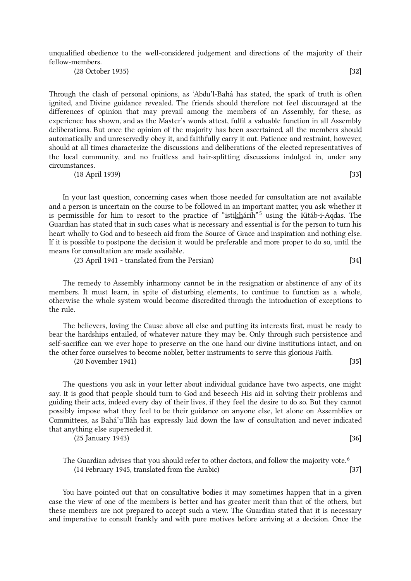unqualified obedience to the well-considered judgement and directions of the majority of their fellow-members.

(28 October 1935) [32]

Through the clash of personal opinions, as 'Abdu'l-Bahá has stated, the spark of truth is often ignited, and Divine guidance revealed. The friends should therefore not feel discouraged at the differences of opinion that may prevail among the members of an Assembly, for these, as experience has shown, and as the Master's words attest, fulfil a valuable function in all Assembly deliberations. But once the opinion of the majority has been ascertained, all the members should automatically and unreservedly obey it, and faithfully carry it out. Patience and restraint, however, should at all times characterize the discussions and deliberations of the elected representatives of the local community, and no fruitless and hair-splitting discussions indulged in, under any circumstances.

(18 April 1939) [33]

<span id="page-7-0"></span>In your last question, concerning cases when those needed for consultation are not available and a person is uncertain on the course to be followed in an important matter, you ask whether it is permissible for him to resort to the practice of "istikhárih"<sup>[5](#page-11-4)</sup> using the Kitáb-i-Aqdas. The Guardian has stated that in such cases what is necessary and essential is for the person to turn his heart wholly to God and to beseech aid from the Source of Grace and inspiration and nothing else. If it is possible to postpone the decision it would be preferable and more proper to do so, until the means for consultation are made available.

(23 April 1941 - translated from the Persian) [34]

The remedy to Assembly inharmony cannot be in the resignation or abstinence of any of its members. It must learn, in spite of disturbing elements, to continue to function as a whole, otherwise the whole system would become discredited through the introduction of exceptions to the rule.

The believers, loving the Cause above all else and putting its interests first, must be ready to bear the hardships entailed, of whatever nature they may be. Only through such persistence and self-sacrifice can we ever hope to preserve on the one hand our divine institutions intact, and on the other force ourselves to become nobler, better instruments to serve this glorious Faith.

(20 November 1941) [35]

The questions you ask in your letter about individual guidance have two aspects, one might say. It is good that people should turn to God and beseech His aid in solving their problems and guiding their acts, indeed every day of their lives, if they feel the desire to do so. But they cannot possibly impose what they feel to be their guidance on anyone else, let alone on Assemblies or Committees, as Bahá'u'lláh has expressly laid down the law of consultation and never indicated that anything else superseded it.

(25 January 1943) [36]

<span id="page-7-1"></span>The Guardian advises that you should refer to other doctors, and follow the majority vote.<sup>[6](#page-11-5)</sup> (14 February 1945, translated from the Arabic) [37]

You have pointed out that on consultative bodies it may sometimes happen that in a given case the view of one of the members is better and has greater merit than that of the others, but these members are not prepared to accept such a view. The Guardian stated that it is necessary and imperative to consult frankly and with pure motives before arriving at a decision. Once the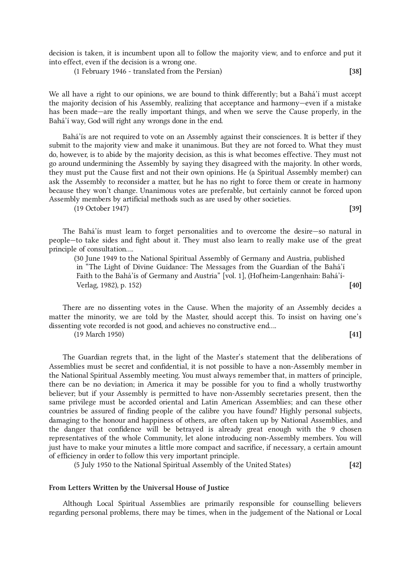decision is taken, it is incumbent upon all to follow the majority view, and to enforce and put it into effect, even if the decision is a wrong one.

(1 February 1946 - translated from the Persian) [38]

We all have a right to our opinions, we are bound to think differently; but a Bahá'í must accept the majority decision of his Assembly, realizing that acceptance and harmony—even if a mistake has been made—are the really important things, and when we serve the Cause properly, in the Bahá'í way, God will right any wrongs done in the end.

Bahá'ís are not required to vote on an Assembly against their consciences. It is better if they submit to the majority view and make it unanimous. But they are not forced to. What they must do, however, is to abide by the majority decision, as this is what becomes effective. They must not go around undermining the Assembly by saying they disagreed with the majority. In other words, they must put the Cause first and not their own opinions. He (a Spiritual Assembly member) can ask the Assembly to reconsider a matter, but he has no right to force them or create in harmony because they won't change. Unanimous votes are preferable, but certainly cannot be forced upon Assembly members by artificial methods such as are used by other societies.

(19 October 1947) [39]

The Bahá'ís must learn to forget personalities and to overcome the desire—so natural in people—to take sides and fight about it. They must also learn to really make use of the great principle of consultation....

(30 June 1949 to the National Spiritual Assembly of Germany and Austria, published in "The Light of Divine Guidance: The Messages from the Guardian of the Bahá'í Faith to the Bahá'ís of Germany and Austria" [vol. 1], (Hofheim-Langenhain: Bahá'í-Verlag, 1982), p. 152) [40]

There are no dissenting votes in the Cause. When the majority of an Assembly decides a matter the minority, we are told by the Master, should accept this. To insist on having one's dissenting vote recorded is not good, and achieves no constructive end....

(19 March 1950) [41]

The Guardian regrets that, in the light of the Master's statement that the deliberations of Assemblies must be secret and confidential, it is not possible to have a non-Assembly member in the National Spiritual Assembly meeting. You must always remember that, in matters of principle, there can be no deviation; in America it may be possible for you to find a wholly trustworthy believer; but if your Assembly is permitted to have non-Assembly secretaries present, then the same privilege must be accorded oriental and Latin American Assemblies; and can these other countries be assured of finding people of the calibre you have found? Highly personal subjects, damaging to the honour and happiness of others, are often taken up by National Assemblies, and the danger that confidence will be betrayed is already great enough with the 9 chosen representatives of the whole Community, let alone introducing non-Assembly members. You will just have to make your minutes a little more compact and sacrifice, if necessary, a certain amount of efficiency in order to follow this very important principle.

(5 July 1950 to the National Spiritual Assembly of the United States) [42]

# From Letters Written by the Universal House of Justice

Although Local Spiritual Assemblies are primarily responsible for counselling believers regarding personal problems, there may be times, when in the judgement of the National or Local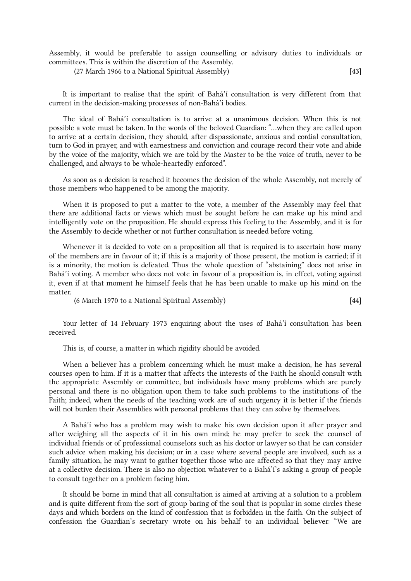Assembly, it would be preferable to assign counselling or advisory duties to individuals or committees. This is within the discretion of the Assembly.

(27 March 1966 to a National Spiritual Assembly) [43]

It is important to realise that the spirit of Bahá'í consultation is very different from that current in the decision-making processes of non-Bahá'í bodies.

The ideal of Bahá'í consultation is to arrive at a unanimous decision. When this is not possible a vote must be taken. In the words of the beloved Guardian: "...when they are called upon to arrive at a certain decision, they should, after dispassionate, anxious and cordial consultation, turn to God in prayer, and with earnestness and conviction and courage record their vote and abide by the voice of the majority, which we are told by the Master to be the voice of truth, never to be challenged, and always to be whole-heartedly enforced".

As soon as a decision is reached it becomes the decision of the whole Assembly, not merely of those members who happened to be among the majority.

When it is proposed to put a matter to the vote, a member of the Assembly may feel that there are additional facts or views which must be sought before he can make up his mind and intelligently vote on the proposition. He should express this feeling to the Assembly, and it is for the Assembly to decide whether or not further consultation is needed before voting.

Whenever it is decided to vote on a proposition all that is required is to ascertain how many of the members are in favour of it; if this is a majority of those present, the motion is carried; if it is a minority, the motion is defeated. Thus the whole question of "abstaining" does not arise in Bahá'í voting. A member who does not vote in favour of a proposition is, in effect, voting against it, even if at that moment he himself feels that he has been unable to make up his mind on the matter.

(6 March 1970 to a National Spiritual Assembly) [44]

Your letter of 14 February 1973 enquiring about the uses of Bahá'í consultation has been received.

This is, of course, a matter in which rigidity should be avoided.

When a believer has a problem concerning which he must make a decision, he has several courses open to him. If it is a matter that affects the interests of the Faith he should consult with the appropriate Assembly or committee, but individuals have many problems which are purely personal and there is no obligation upon them to take such problems to the institutions of the Faith; indeed, when the needs of the teaching work are of such urgency it is better if the friends will not burden their Assemblies with personal problems that they can solve by themselves.

A Bahá'í who has a problem may wish to make his own decision upon it after prayer and after weighing all the aspects of it in his own mind; he may prefer to seek the counsel of individual friends or of professional counselors such as his doctor or lawyer so that he can consider such advice when making his decision; or in a case where several people are involved, such as a family situation, he may want to gather together those who are affected so that they may arrive at a collective decision. There is also no objection whatever to a Bahá'í's asking a group of people to consult together on a problem facing him.

It should be borne in mind that all consultation is aimed at arriving at a solution to a problem and is quite different from the sort of group baring of the soul that is popular in some circles these days and which borders on the kind of confession that is forbidden in the faith. On the subject of confession the Guardian's secretary wrote on his behalf to an individual believer: "We are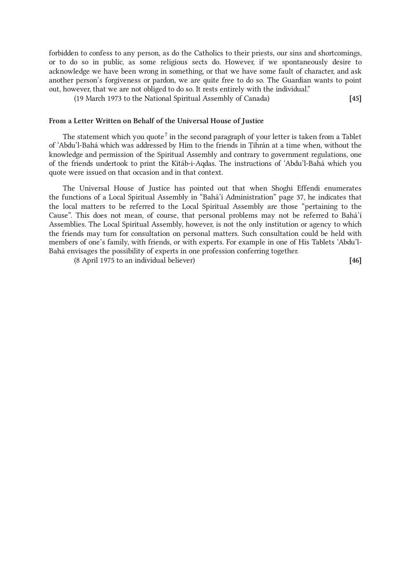forbidden to confess to any person, as do the Catholics to their priests, our sins and shortcomings, or to do so in public, as some religious sects do. However, if we spontaneously desire to acknowledge we have been wrong in something, or that we have some fault of character, and ask another person's forgiveness or pardon, we are quite free to do so. The Guardian wants to point out, however, that we are not obliged to do so. It rests entirely with the individual."

(19 March 1973 to the National Spiritual Assembly of Canada) [45]

## From a Letter Written on Behalf of the Universal House of Justice

<span id="page-10-0"></span>The statement which you quote<sup>[7](#page-11-6)</sup> in the second paragraph of your letter is taken from a Tablet of 'Abdu'l-Bahá which was addressed by Him to the friends in Ṭihrán at a time when, without the knowledge and permission of the Spiritual Assembly and contrary to government regulations, one of the friends undertook to print the Kitáb-i-Aqdas. The instructions of 'Abdu'l-Bahá which you quote were issued on that occasion and in that context.

The Universal House of Justice has pointed out that when Shoghi Effendi enumerates the functions of a Local Spiritual Assembly in "Bahá'í Administration" page 37, he indicates that the local matters to be referred to the Local Spiritual Assembly are those "pertaining to the Cause". This does not mean, of course, that personal problems may not be referred to Bahá'í Assemblies. The Local Spiritual Assembly, however, is not the only institution or agency to which the friends may turn for consultation on personal matters. Such consultation could be held with members of one's family, with friends, or with experts. For example in one of His Tablets 'Abdu'l-Bahá envisages the possibility of experts in one profession conferring together.

(8 April 1975 to an individual believer) [46]